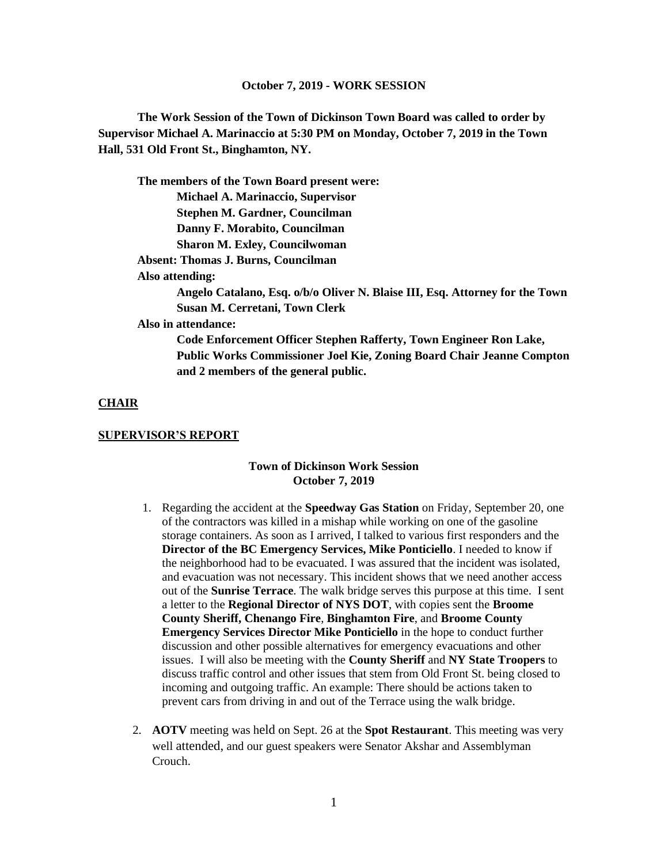#### **October 7, 2019 - WORK SESSION**

**The Work Session of the Town of Dickinson Town Board was called to order by Supervisor Michael A. Marinaccio at 5:30 PM on Monday, October 7, 2019 in the Town Hall, 531 Old Front St., Binghamton, NY.**

**The members of the Town Board present were:**

**Michael A. Marinaccio, Supervisor Stephen M. Gardner, Councilman** 

**Danny F. Morabito, Councilman**

**Sharon M. Exley, Councilwoman**

 **Absent: Thomas J. Burns, Councilman**

**Also attending:**

**Angelo Catalano, Esq. o/b/o Oliver N. Blaise III, Esq. Attorney for the Town Susan M. Cerretani, Town Clerk**

**Also in attendance:** 

**Code Enforcement Officer Stephen Rafferty, Town Engineer Ron Lake, Public Works Commissioner Joel Kie, Zoning Board Chair Jeanne Compton and 2 members of the general public.**

#### **CHAIR**

#### **SUPERVISOR'S REPORT**

#### **Town of Dickinson Work Session October 7, 2019**

- 1. Regarding the accident at the **Speedway Gas Station** on Friday, September 20, one of the contractors was killed in a mishap while working on one of the gasoline storage containers. As soon as I arrived, I talked to various first responders and the **Director of the BC Emergency Services, Mike Ponticiello**. I needed to know if the neighborhood had to be evacuated. I was assured that the incident was isolated, and evacuation was not necessary. This incident shows that we need another access out of the **Sunrise Terrace**. The walk bridge serves this purpose at this time. I sent a letter to the **Regional Director of NYS DOT**, with copies sent the **Broome County Sheriff, Chenango Fire**, **Binghamton Fire**, and **Broome County Emergency Services Director Mike Ponticiello** in the hope to conduct further discussion and other possible alternatives for emergency evacuations and other issues. I will also be meeting with the **County Sheriff** and **NY State Troopers** to discuss traffic control and other issues that stem from Old Front St. being closed to incoming and outgoing traffic. An example: There should be actions taken to prevent cars from driving in and out of the Terrace using the walk bridge.
- 2. **AOTV** meeting was held on Sept. 26 at the **Spot Restaurant**. This meeting was very well attended, and our guest speakers were Senator Akshar and Assemblyman Crouch.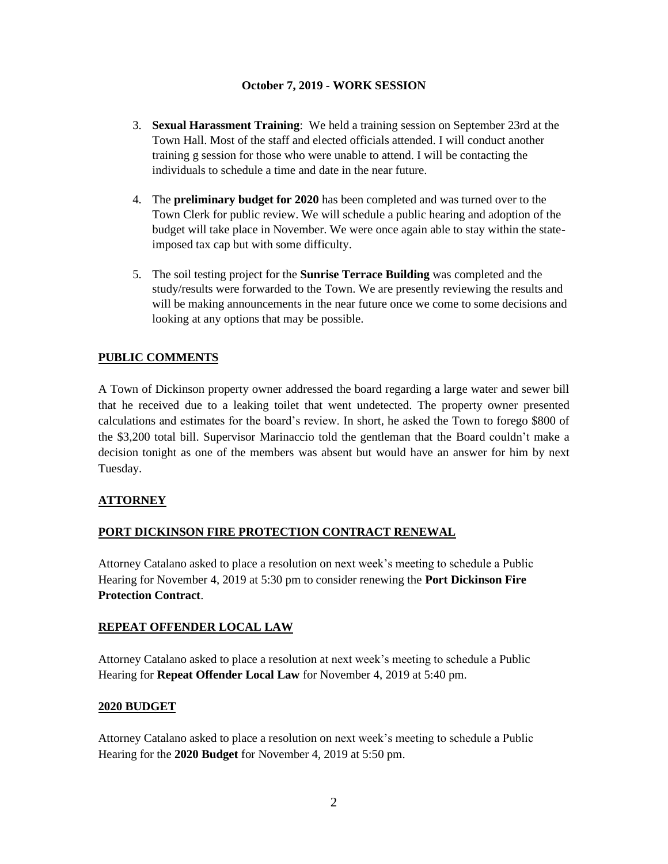## **October 7, 2019 - WORK SESSION**

- 3. **Sexual Harassment Training**: We held a training session on September 23rd at the Town Hall. Most of the staff and elected officials attended. I will conduct another training g session for those who were unable to attend. I will be contacting the individuals to schedule a time and date in the near future.
- 4. The **preliminary budget for 2020** has been completed and was turned over to the Town Clerk for public review. We will schedule a public hearing and adoption of the budget will take place in November. We were once again able to stay within the stateimposed tax cap but with some difficulty.
- 5. The soil testing project for the **Sunrise Terrace Building** was completed and the study/results were forwarded to the Town. We are presently reviewing the results and will be making announcements in the near future once we come to some decisions and looking at any options that may be possible.

# **PUBLIC COMMENTS**

A Town of Dickinson property owner addressed the board regarding a large water and sewer bill that he received due to a leaking toilet that went undetected. The property owner presented calculations and estimates for the board's review. In short, he asked the Town to forego \$800 of the \$3,200 total bill. Supervisor Marinaccio told the gentleman that the Board couldn't make a decision tonight as one of the members was absent but would have an answer for him by next Tuesday.

## **ATTORNEY**

## **PORT DICKINSON FIRE PROTECTION CONTRACT RENEWAL**

Attorney Catalano asked to place a resolution on next week's meeting to schedule a Public Hearing for November 4, 2019 at 5:30 pm to consider renewing the **Port Dickinson Fire Protection Contract**.

### **REPEAT OFFENDER LOCAL LAW**

Attorney Catalano asked to place a resolution at next week's meeting to schedule a Public Hearing for **Repeat Offender Local Law** for November 4, 2019 at 5:40 pm.

### **2020 BUDGET**

Attorney Catalano asked to place a resolution on next week's meeting to schedule a Public Hearing for the **2020 Budget** for November 4, 2019 at 5:50 pm.